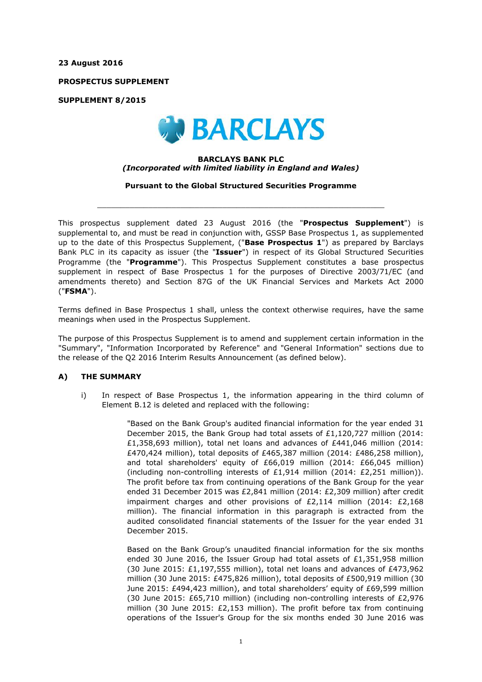**23 August 2016**

**PROSPECTUS SUPPLEMENT**

**SUPPLEMENT 8/2015**



### **BARCLAYS BANK PLC** *(Incorporated with limited liability in England and Wales)*

**Pursuant to the Global Structured Securities Programme**

 $\_$  ,  $\_$  ,  $\_$  ,  $\_$  ,  $\_$  ,  $\_$  ,  $\_$  ,  $\_$  ,  $\_$  ,  $\_$  ,  $\_$  ,  $\_$  ,  $\_$  ,  $\_$  ,  $\_$  ,  $\_$  ,  $\_$  ,  $\_$  ,  $\_$  ,  $\_$  ,  $\_$  ,  $\_$  ,  $\_$  ,  $\_$  ,  $\_$  ,  $\_$  ,  $\_$  ,  $\_$  ,  $\_$  ,  $\_$  ,  $\_$  ,  $\_$  ,  $\_$  ,  $\_$  ,  $\_$  ,  $\_$  ,  $\_$  ,

This prospectus supplement dated 23 August 2016 (the "**Prospectus Supplement**") is supplemental to, and must be read in conjunction with, GSSP Base Prospectus 1, as supplemented up to the date of this Prospectus Supplement, ("**Base Prospectus 1**") as prepared by Barclays Bank PLC in its capacity as issuer (the "**Issuer**") in respect of its Global Structured Securities Programme (the "**Programme**"). This Prospectus Supplement constitutes a base prospectus supplement in respect of Base Prospectus 1 for the purposes of Directive 2003/71/EC (and amendments thereto) and Section 87G of the UK Financial Services and Markets Act 2000 ("**FSMA**").

Terms defined in Base Prospectus 1 shall, unless the context otherwise requires, have the same meanings when used in the Prospectus Supplement.

The purpose of this Prospectus Supplement is to amend and supplement certain information in the "Summary", "Information Incorporated by Reference" and "General Information" sections due to the release of the Q2 2016 Interim Results Announcement (as defined below).

## **A) THE SUMMARY**

i) In respect of Base Prospectus 1, the information appearing in the third column of Element B.12 is deleted and replaced with the following:

> "Based on the Bank Group's audited financial information for the year ended 31 December 2015, the Bank Group had total assets of £1,120,727 million (2014: £1,358,693 million), total net loans and advances of £441,046 million (2014: £470,424 million), total deposits of £465,387 million (2014: £486,258 million), and total shareholders' equity of £66,019 million (2014: £66,045 million) (including non-controlling interests of £1,914 million (2014: £2,251 million)). The profit before tax from continuing operations of the Bank Group for the year ended 31 December 2015 was £2,841 million (2014: £2,309 million) after credit impairment charges and other provisions of  $E2,114$  million (2014;  $E2,168$ ) million). The financial information in this paragraph is extracted from the audited consolidated financial statements of the Issuer for the year ended 31 December 2015.

> Based on the Bank Group's unaudited financial information for the six months ended 30 June 2016, the Issuer Group had total assets of £1,351,958 million (30 June 2015: £1,197,555 million), total net loans and advances of £473,962 million (30 June 2015: £475,826 million), total deposits of £500,919 million (30 June 2015: £494,423 million), and total shareholders' equity of £69,599 million (30 June 2015: £65,710 million) (including non-controlling interests of £2,976 million (30 June 2015: £2,153 million). The profit before tax from continuing operations of the Issuer's Group for the six months ended 30 June 2016 was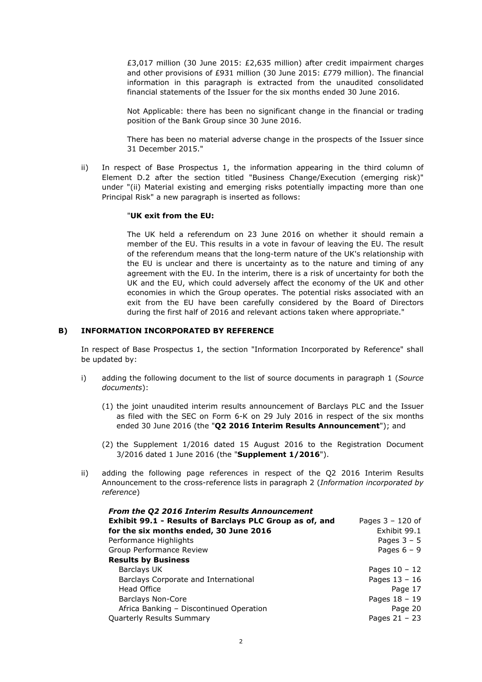£3,017 million (30 June 2015: £2,635 million) after credit impairment charges and other provisions of £931 million (30 June 2015: £779 million). The financial information in this paragraph is extracted from the unaudited consolidated financial statements of the Issuer for the six months ended 30 June 2016.

Not Applicable: there has been no significant change in the financial or trading position of the Bank Group since 30 June 2016.

There has been no material adverse change in the prospects of the Issuer since 31 December 2015."

ii) In respect of Base Prospectus 1, the information appearing in the third column of Element D.2 after the section titled "Business Change/Execution (emerging risk)" under "(ii) Material existing and emerging risks potentially impacting more than one Principal Risk" a new paragraph is inserted as follows:

### "**UK exit from the EU:**

The UK held a referendum on 23 June 2016 on whether it should remain a member of the EU. This results in a vote in favour of leaving the EU. The result of the referendum means that the long-term nature of the UK's relationship with the EU is unclear and there is uncertainty as to the nature and timing of any agreement with the EU. In the interim, there is a risk of uncertainty for both the UK and the EU, which could adversely affect the economy of the UK and other economies in which the Group operates. The potential risks associated with an exit from the EU have been carefully considered by the Board of Directors during the first half of 2016 and relevant actions taken where appropriate."

### **B) INFORMATION INCORPORATED BY REFERENCE**

In respect of Base Prospectus 1, the section "Information Incorporated by Reference" shall be updated by:

- i) adding the following document to the list of source documents in paragraph 1 (*Source documents*):
	- (1) the joint unaudited interim results announcement of Barclays PLC and the Issuer as filed with the SEC on Form 6-K on 29 July 2016 in respect of the six months ended 30 June 2016 (the "**Q2 2016 Interim Results Announcement**"); and
	- (2) the Supplement 1/2016 dated 15 August 2016 to the Registration Document 3/2016 dated 1 June 2016 (the "**Supplement 1/2016**").
- ii) adding the following page references in respect of the Q2 2016 Interim Results Announcement to the cross-reference lists in paragraph 2 (*Information incorporated by reference*)

| From the Q2 2016 Interim Results Announcement           |                    |
|---------------------------------------------------------|--------------------|
| Exhibit 99.1 - Results of Barclays PLC Group as of, and | Pages $3 - 120$ of |
| for the six months ended, 30 June 2016                  | Exhibit 99.1       |
| Performance Highlights                                  | Pages $3 - 5$      |
| Group Performance Review                                | Pages $6 - 9$      |
| <b>Results by Business</b>                              |                    |
| Barclays UK                                             | Pages $10 - 12$    |
| Barclays Corporate and International                    | Pages $13 - 16$    |
| Head Office                                             | Page 17            |
| <b>Barclays Non-Core</b>                                | Pages $18 - 19$    |
| Africa Banking - Discontinued Operation                 | Page 20            |
| Quarterly Results Summary                               | Pages $21 - 23$    |
|                                                         |                    |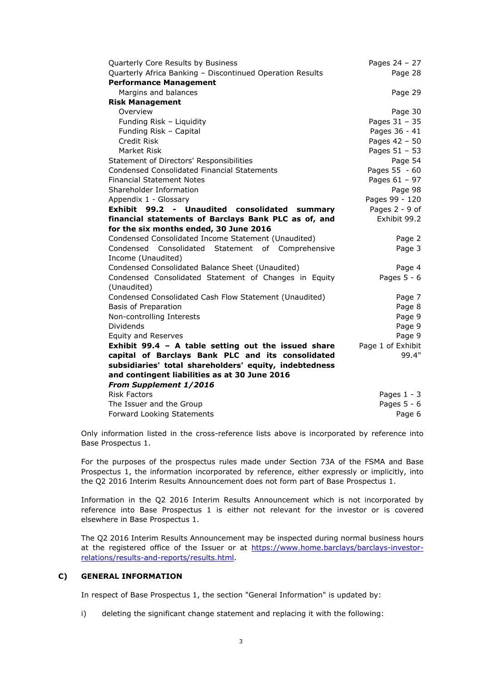| Quarterly Core Results by Business                        | Pages 24 - 27     |
|-----------------------------------------------------------|-------------------|
| Quarterly Africa Banking - Discontinued Operation Results | Page 28           |
| <b>Performance Management</b>                             |                   |
| Margins and balances                                      | Page 29           |
| <b>Risk Management</b>                                    |                   |
| Overview                                                  | Page 30           |
| Funding Risk - Liquidity                                  | Pages $31 - 35$   |
| Funding Risk - Capital                                    | Pages 36 - 41     |
| Credit Risk                                               | Pages 42 - 50     |
| Market Risk                                               | Pages 51 - 53     |
| Statement of Directors' Responsibilities                  | Page 54           |
| <b>Condensed Consolidated Financial Statements</b>        | Pages 55 - 60     |
| <b>Financial Statement Notes</b>                          | Pages 61 - 97     |
| Shareholder Information                                   | Page 98           |
| Appendix 1 - Glossary                                     | Pages 99 - 120    |
| Exhibit 99.2 - Unaudited consolidated summary             | Pages 2 - 9 of    |
| financial statements of Barclays Bank PLC as of, and      | Exhibit 99.2      |
| for the six months ended, 30 June 2016                    |                   |
| Condensed Consolidated Income Statement (Unaudited)       | Page 2            |
| Condensed Consolidated Statement of Comprehensive         | Page 3            |
| Income (Unaudited)                                        |                   |
| Condensed Consolidated Balance Sheet (Unaudited)          | Page 4            |
| Condensed Consolidated Statement of Changes in Equity     | Pages $5 - 6$     |
| (Unaudited)                                               |                   |
| Condensed Consolidated Cash Flow Statement (Unaudited)    | Page 7            |
| Basis of Preparation                                      | Page 8            |
| Non-controlling Interests                                 | Page 9            |
| Dividends                                                 | Page 9            |
| <b>Equity and Reserves</b>                                | Page 9            |
| Exhibit 99.4 - A table setting out the issued share       | Page 1 of Exhibit |
| capital of Barclays Bank PLC and its consolidated         | 99.4"             |
| subsidiaries' total shareholders' equity, indebtedness    |                   |
| and contingent liabilities as at 30 June 2016             |                   |
| From Supplement 1/2016                                    |                   |
| <b>Risk Factors</b>                                       | Pages $1 - 3$     |
| The Issuer and the Group                                  | Pages $5 - 6$     |
| Forward Looking Statements                                | Page 6            |

Only information listed in the cross-reference lists above is incorporated by reference into Base Prospectus 1.

For the purposes of the prospectus rules made under Section 73A of the FSMA and Base Prospectus 1, the information incorporated by reference, either expressly or implicitly, into the Q2 2016 Interim Results Announcement does not form part of Base Prospectus 1.

Information in the Q2 2016 Interim Results Announcement which is not incorporated by reference into Base Prospectus 1 is either not relevant for the investor or is covered elsewhere in Base Prospectus 1.

The Q2 2016 Interim Results Announcement may be inspected during normal business hours [at the registered office of the Issuer or at https://www.home.barclays/barclays-investor](https://www.home.barclays/barclays-investor-relations/results-and-reports/results.html)relations/results-and-reports/results.html.

## **C) GENERAL INFORMATION**

In respect of Base Prospectus 1, the section "General Information" is updated by:

i) deleting the significant change statement and replacing it with the following: